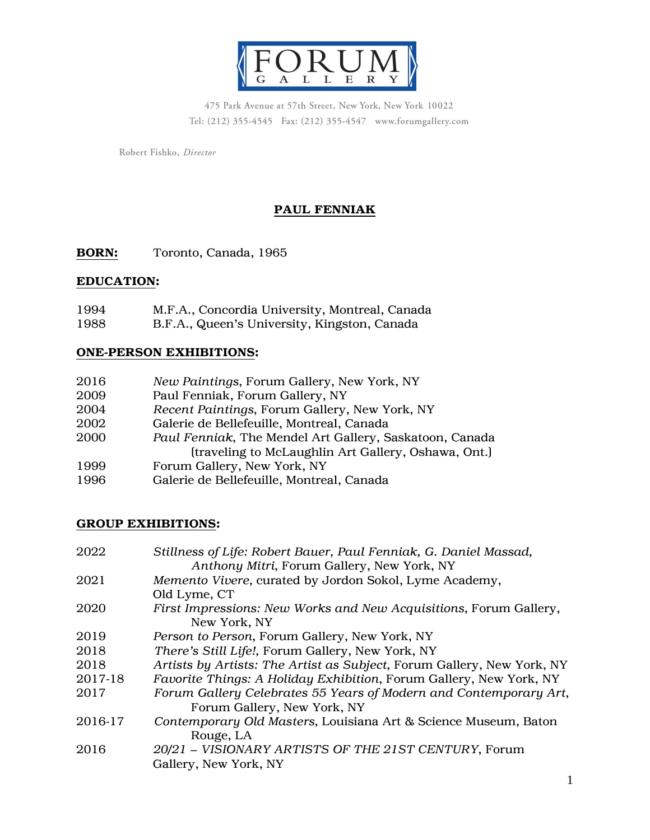

475 Park Avenue at 57th Street, New York, New York 10022 Tel: (212) 355-4545 Fax: (212) 355-4547 www.forumgallery.com

Robert Fishko, Director

# PAUL FENNIAK

BORN: Toronto, Canada, 1965

## EDUCATION:

| 1994 | M.F.A., Concordia University, Montreal, Canada |
|------|------------------------------------------------|
| 1000 |                                                |

1988 B.F.A., Queen's University, Kingston, Canada

### ONE-PERSON EXHIBITIONS:

| 2016 | New Paintings, Forum Gallery, New York, NY              |
|------|---------------------------------------------------------|
| 2009 | Paul Fenniak, Forum Gallery, NY                         |
| 2004 | Recent Paintings, Forum Gallery, New York, NY           |
| 2002 | Galerie de Bellefeuille, Montreal, Canada               |
| 2000 | Paul Fenniak, The Mendel Art Gallery, Saskatoon, Canada |
|      | (traveling to McLaughlin Art Gallery, Oshawa, Ont.)     |
| 1999 | Forum Gallery, New York, NY                             |
| 1996 | Galerie de Bellefeuille, Montreal, Canada               |

## GROUP EXHIBITIONS:

| 2022    | Stillness of Life: Robert Bauer, Paul Fenniak, G. Daniel Massad,<br>Anthony Mitri, Forum Gallery, New York, NY |
|---------|----------------------------------------------------------------------------------------------------------------|
| 2021    | Memento Vivere, curated by Jordon Sokol, Lyme Academy,                                                         |
|         | Old Lyme, CT                                                                                                   |
| 2020    | First Impressions: New Works and New Acquisitions, Forum Gallery,<br>New York, NY                              |
| 2019    | Person to Person, Forum Gallery, New York, NY                                                                  |
| 2018    | There's Still Life!, Forum Gallery, New York, NY                                                               |
| 2018    | Artists by Artists: The Artist as Subject, Forum Gallery, New York, NY                                         |
| 2017-18 | Favorite Things: A Holiday Exhibition, Forum Gallery, New York, NY                                             |
| 2017    | Forum Gallery Celebrates 55 Years of Modern and Contemporary Art,<br>Forum Gallery, New York, NY               |
| 2016-17 | Contemporary Old Masters, Louisiana Art & Science Museum, Baton<br>Rouge, LA                                   |
| 2016    | 20/21 - VISIONARY ARTISTS OF THE 21ST CENTURY, Forum<br>Gallery, New York, NY                                  |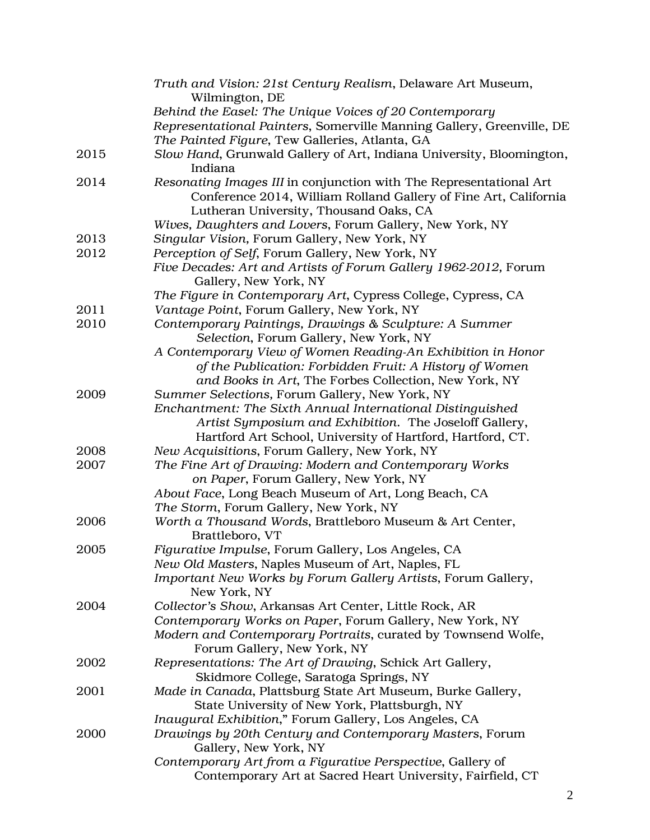|      | Truth and Vision: 21st Century Realism, Delaware Art Museum,<br>Wilmington, DE |
|------|--------------------------------------------------------------------------------|
|      | Behind the Easel: The Unique Voices of 20 Contemporary                         |
|      | Representational Painters, Somerville Manning Gallery, Greenville, DE          |
|      | The Painted Figure, Tew Galleries, Atlanta, GA                                 |
| 2015 | Slow Hand, Grunwald Gallery of Art, Indiana University, Bloomington,           |
|      | Indiana                                                                        |
| 2014 | Resonating Images III in conjunction with The Representational Art             |
|      | Conference 2014, William Rolland Gallery of Fine Art, California               |
|      | Lutheran University, Thousand Oaks, CA                                         |
|      | Wives, Daughters and Lovers, Forum Gallery, New York, NY                       |
| 2013 | Singular Vision, Forum Gallery, New York, NY                                   |
| 2012 | Perception of Self, Forum Gallery, New York, NY                                |
|      | Five Decades: Art and Artists of Forum Gallery 1962-2012, Forum                |
|      | Gallery, New York, NY                                                          |
|      | The Figure in Contemporary Art, Cypress College, Cypress, CA                   |
| 2011 | Vantage Point, Forum Gallery, New York, NY                                     |
| 2010 | Contemporary Paintings, Drawings & Sculpture: A Summer                         |
|      | Selection, Forum Gallery, New York, NY                                         |
|      | A Contemporary View of Women Reading-An Exhibition in Honor                    |
|      | of the Publication: Forbidden Fruit: A History of Women                        |
|      | and Books in Art, The Forbes Collection, New York, NY                          |
| 2009 | Summer Selections, Forum Gallery, New York, NY                                 |
|      | Enchantment: The Sixth Annual International Distinguished                      |
|      | Artist Symposium and Exhibition. The Joseloff Gallery,                         |
|      | Hartford Art School, University of Hartford, Hartford, CT.                     |
| 2008 | New Acquisitions, Forum Gallery, New York, NY                                  |
| 2007 | The Fine Art of Drawing: Modern and Contemporary Works                         |
|      | on Paper, Forum Gallery, New York, NY                                          |
|      | About Face, Long Beach Museum of Art, Long Beach, CA                           |
|      | The Storm, Forum Gallery, New York, NY                                         |
| 2006 | Worth a Thousand Words, Brattleboro Museum & Art Center,                       |
|      | Brattleboro, VT                                                                |
| 2005 | Figurative Impulse, Forum Gallery, Los Angeles, CA                             |
|      | New Old Masters, Naples Museum of Art, Naples, FL                              |
|      | Important New Works by Forum Gallery Artists, Forum Gallery,                   |
|      | New York, NY                                                                   |
| 2004 | Collector's Show, Arkansas Art Center, Little Rock, AR                         |
|      | Contemporary Works on Paper, Forum Gallery, New York, NY                       |
|      | Modern and Contemporary Portraits, curated by Townsend Wolfe,                  |
|      | Forum Gallery, New York, NY                                                    |
| 2002 | Representations: The Art of Drawing, Schick Art Gallery,                       |
|      | Skidmore College, Saratoga Springs, NY                                         |
| 2001 | Made in Canada, Plattsburg State Art Museum, Burke Gallery,                    |
|      | State University of New York, Plattsburgh, NY                                  |
|      | Inaugural Exhibition," Forum Gallery, Los Angeles, CA                          |
| 2000 | Drawings by 20th Century and Contemporary Masters, Forum                       |
|      | Gallery, New York, NY                                                          |
|      | Contemporary Art from a Figurative Perspective, Gallery of                     |
|      | Contemporary Art at Sacred Heart University, Fairfield, CT                     |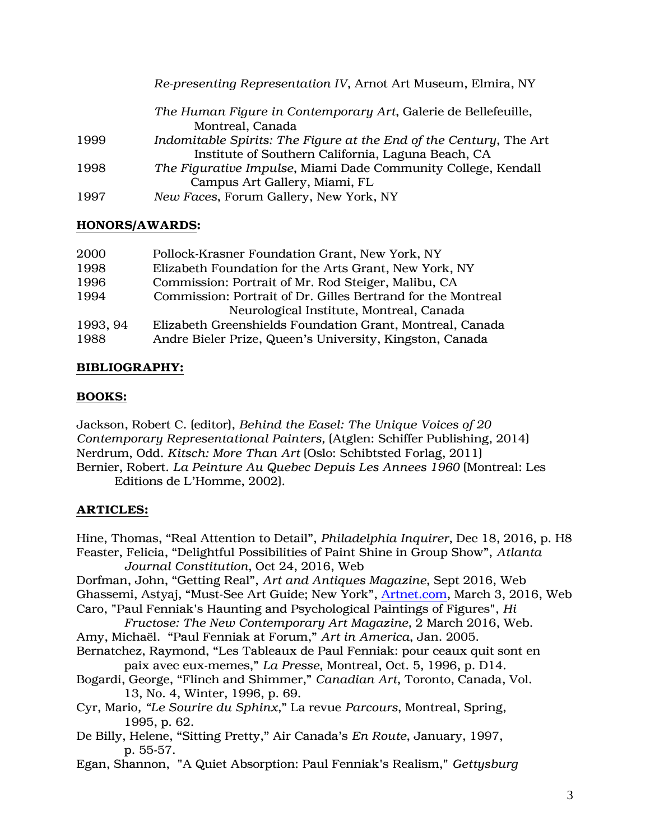|      | Re-presenting Representation IV, Arnot Art Museum, Elmira, NY      |
|------|--------------------------------------------------------------------|
|      | The Human Figure in Contemporary Art, Galerie de Bellefeuille,     |
|      | Montreal, Canada                                                   |
| 1999 | Indomitable Spirits: The Figure at the End of the Century, The Art |
|      | Institute of Southern California, Laguna Beach, CA                 |
| 1998 | The Figurative Impulse, Miami Dade Community College, Kendall      |
|      | Campus Art Gallery, Miami, FL                                      |
| 1997 | New Faces, Forum Gallery, New York, NY                             |

## HONORS/AWARDS:

| 2000     | Pollock-Krasner Foundation Grant, New York, NY               |
|----------|--------------------------------------------------------------|
| 1998     | Elizabeth Foundation for the Arts Grant, New York, NY        |
| 1996     | Commission: Portrait of Mr. Rod Steiger, Malibu, CA          |
| 1994     | Commission: Portrait of Dr. Gilles Bertrand for the Montreal |
|          | Neurological Institute, Montreal, Canada                     |
| 1993, 94 | Elizabeth Greenshields Foundation Grant, Montreal, Canada    |
| 1988     | Andre Bieler Prize, Queen's University, Kingston, Canada     |

## BIBLIOGRAPHY:

## BOOKS:

Jackson, Robert C. (editor), *Behind the Easel: The Unique Voices of 20 Contemporary Representational Painters,* (Atglen: Schiffer Publishing, 2014) Nerdrum, Odd. *Kitsch: More Than Art* (Oslo: Schibtsted Forlag, 2011) Bernier, Robert. *La Peinture Au Quebec Depuis Les Annees 1960* (Montreal: Les Editions de L'Homme, 2002).

## ARTICLES:

Hine, Thomas, "Real Attention to Detail", *Philadelphia Inquirer*, Dec 18, 2016, p. H8 Feaster, Felicia, "Delightful Possibilities of Paint Shine in Group Show", *Atlanta Journal Constitution*, Oct 24, 2016, Web Dorfman, John, "Getting Real", *Art and Antiques Magazine*, Sept 2016, Web Ghassemi, Astyaj, "Must-See Art Guide; New York", [Artnet.com,](http://artnet.com/) March 3, 2016, Web Caro, "Paul Fenniak's Haunting and Psychological Paintings of Figures", *Hi Fructose: The New Contemporary Art Magazine,* 2 March 2016, Web. Amy, Michaël. "Paul Fenniak at Forum," *Art in America*, Jan. 2005. Bernatchez, Raymond, "Les Tableaux de Paul Fenniak: pour ceaux quit sont en paix avec eux-memes," *La Presse*, Montreal, Oct. 5, 1996, p. D14. Bogardi, George, "Flinch and Shimmer," *Canadian Art*, Toronto, Canada, Vol. 13, No. 4, Winter, 1996, p. 69. Cyr, Mario*, "Le Sourire du Sphinx*," La revue *Parcours*, Montreal, Spring, 1995, p. 62. De Billy, Helene, "Sitting Pretty," Air Canada's *En Route*, January, 1997, p. 55-57. Egan, Shannon, "A Quiet Absorption: Paul Fenniak's Realism," *Gettysburg*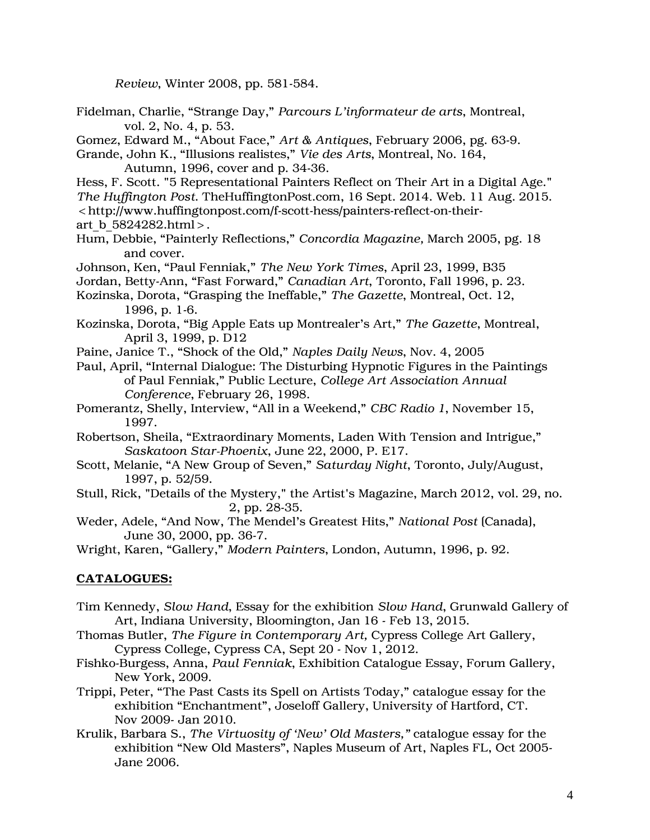*Review*, Winter 2008, pp. 581-584.

- Fidelman, Charlie, "Strange Day," *Parcours L'informateur de arts*, Montreal, vol. 2, No. 4, p. 53.
- Gomez, Edward M., "About Face," *Art & Antiques*, February 2006, pg. 63-9.
- Grande, John K., "Illusions realistes," *Vie des Arts*, Montreal, No. 164, Autumn, 1996, cover and p. 34-36.
- Hess, F. Scott. "5 Representational Painters Reflect on Their Art in a Digital Age."
- *The Huffington Post*. TheHuffingtonPost.com, 16 Sept. 2014. Web. 11 Aug. 2015.

<http://www.huffingtonpost.com/f-scott-hess/painters-reflect-on-their-

- art b 5824282.html>.
- Hum, Debbie, "Painterly Reflections," *Concordia Magazine,* March 2005, pg. 18 and cover.
- Johnson, Ken, "Paul Fenniak," *The New York Times*, April 23, 1999, B35
- Jordan, Betty-Ann, "Fast Forward," *Canadian Art*, Toronto, Fall 1996, p. 23.

Kozinska, Dorota, "Grasping the Ineffable," *The Gazette*, Montreal, Oct. 12, 1996, p. 1-6.

- Kozinska, Dorota, "Big Apple Eats up Montrealer's Art," *The Gazette*, Montreal, April 3, 1999, p. D12
- Paine, Janice T., "Shock of the Old," *Naples Daily News*, Nov. 4, 2005
- Paul, April, "Internal Dialogue: The Disturbing Hypnotic Figures in the Paintings of Paul Fenniak," Public Lecture, *College Art Association Annual Conference*, February 26, 1998.
- Pomerantz, Shelly, Interview, "All in a Weekend," *CBC Radio 1*, November 15, 1997.
- Robertson, Sheila, "Extraordinary Moments, Laden With Tension and Intrigue," *Saskatoon Star-Phoenix*, June 22, 2000, P. E17.
- Scott, Melanie, "A New Group of Seven," *Saturday Night*, Toronto, July/August, 1997, p. 52/59.
- Stull, Rick, "Details of the Mystery," the Artist's Magazine, March 2012, vol. 29, no. 2, pp. 28-35.
- Weder, Adele, "And Now, The Mendel's Greatest Hits," *National Post* (Canada), June 30, 2000, pp. 36-7.

Wright, Karen, "Gallery," *Modern Painters*, London, Autumn, 1996, p. 92.

### CATALOGUES:

- Tim Kennedy, *Slow Hand*, Essay for the exhibition *Slow Hand*, Grunwald Gallery of Art, Indiana University, Bloomington, Jan 16 - Feb 13, 2015.
- Thomas Butler, *The Figure in Contemporary Art,* Cypress College Art Gallery, Cypress College, Cypress CA, Sept 20 - Nov 1, 2012.
- Fishko-Burgess, Anna, *Paul Fenniak*, Exhibition Catalogue Essay, Forum Gallery, New York, 2009.
- Trippi, Peter, "The Past Casts its Spell on Artists Today," catalogue essay for the exhibition "Enchantment", Joseloff Gallery, University of Hartford, CT. Nov 2009- Jan 2010.
- Krulik, Barbara S., *The Virtuosity of 'New' Old Masters,"* catalogue essay for the exhibition "New Old Masters", Naples Museum of Art, Naples FL, Oct 2005- Jane 2006.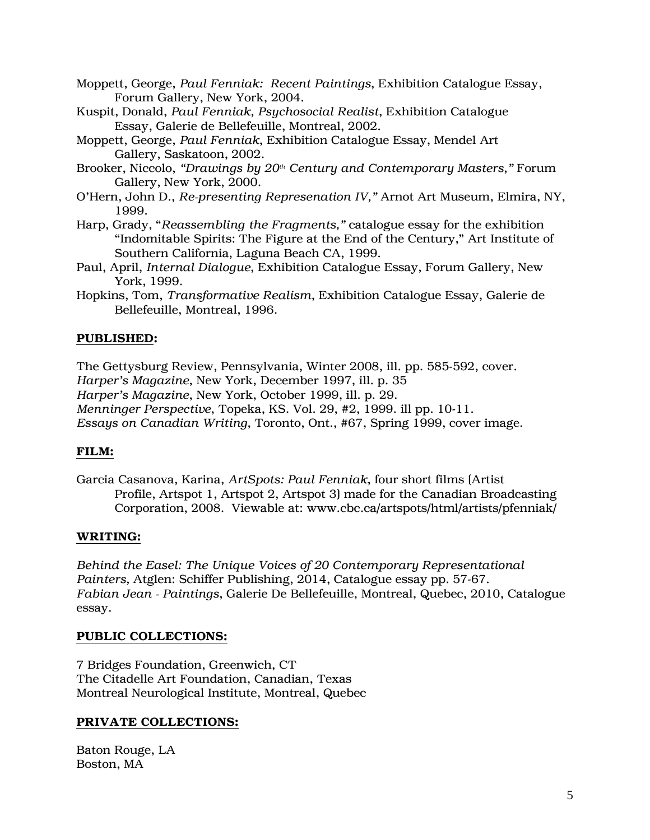- Moppett, George, *Paul Fenniak: Recent Paintings*, Exhibition Catalogue Essay, Forum Gallery, New York, 2004.
- Kuspit, Donald, *Paul Fenniak, Psychosocial Realist*, Exhibition Catalogue Essay, Galerie de Bellefeuille, Montreal, 2002.
- Moppett, George, *Paul Fenniak*, Exhibition Catalogue Essay, Mendel Art Gallery, Saskatoon, 2002.
- Brooker, Niccolo, *"Drawings by 20th Century and Contemporary Masters,"* Forum Gallery, New York, 2000.
- O'Hern, John D., *Re-presenting Represenation IV,"* Arnot Art Museum, Elmira, NY, 1999.
- Harp, Grady, "*Reassembling the Fragments,"* catalogue essay for the exhibition "Indomitable Spirits: The Figure at the End of the Century," Art Institute of Southern California, Laguna Beach CA, 1999.
- Paul, April, *Internal Dialogue*, Exhibition Catalogue Essay, Forum Gallery, New York, 1999.
- Hopkins, Tom, *Transformative Realism*, Exhibition Catalogue Essay, Galerie de Bellefeuille, Montreal, 1996.

## PUBLISHED:

The Gettysburg Review, Pennsylvania, Winter 2008, ill. pp. 585-592, cover. *Harper's Magazine*, New York, December 1997, ill. p. 35 *Harper's Magazine*, New York, October 1999, ill. p. 29. *Menninger Perspective*, Topeka, KS. Vol. 29, #2, 1999. ill pp. 10-11. *Essays on Canadian Writing*, Toronto, Ont., #67, Spring 1999, cover image.

### FILM:

Garcia Casanova, Karina, *ArtSpots: Paul Fenniak*, four short films (Artist Profile, Artspot 1, Artspot 2, Artspot 3) made for the Canadian Broadcasting Corporation, 2008. Viewable at: www.cbc.ca/artspots/html/artists/pfenniak/

### WRITING:

*Behind the Easel: The Unique Voices of 20 Contemporary Representational Painters,* Atglen: Schiffer Publishing, 2014, Catalogue essay pp. 57-67. *Fabian Jean - Paintings*, Galerie De Bellefeuille, Montreal, Quebec, 2010, Catalogue essay.

#### PUBLIC COLLECTIONS:

7 Bridges Foundation, Greenwich, CT The Citadelle Art Foundation, Canadian, Texas Montreal Neurological Institute, Montreal, Quebec

#### PRIVATE COLLECTIONS:

Baton Rouge, LA Boston, MA